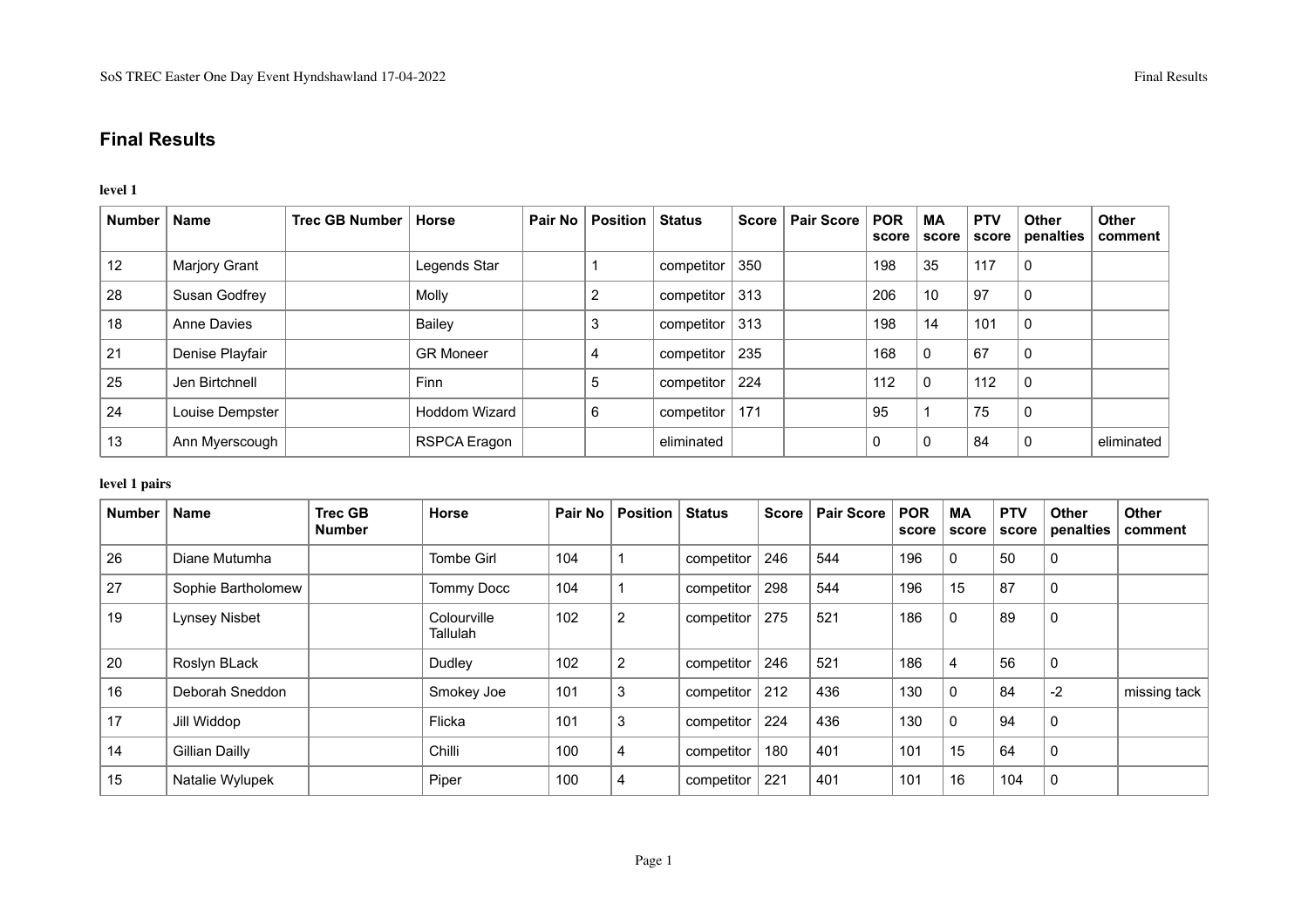# **Final Results**

## **level 1**

| <b>Number</b> | <b>Name</b>     | <b>Trec GB Number</b> | <b>Horse</b>     | Pair No | <b>Position</b> | Status     | Score | <b>Pair Score</b> | <b>POR</b><br>score | МA<br>score  | <b>PTV</b><br>score | <b>Other</b><br>penalties | <b>Other</b><br>comment |
|---------------|-----------------|-----------------------|------------------|---------|-----------------|------------|-------|-------------------|---------------------|--------------|---------------------|---------------------------|-------------------------|
| 12            | Marjory Grant   |                       | Legends Star     |         |                 | competitor | 350   |                   | 198                 | 35           | 117                 | 0                         |                         |
| 28            | Susan Godfrey   |                       | Molly            |         | ∠               | competitor | 313   |                   | 206                 | 10           | 97                  | 0                         |                         |
| 18            | Anne Davies     |                       | Bailey           |         | $\sim$<br>3     | competitor | 313   |                   | 198                 | 14           | 101                 | 0                         |                         |
| 21            | Denise Playfair |                       | <b>GR Moneer</b> |         | 4               | competitor | 235   |                   | 168                 | $\mathbf 0$  | 67                  | 0                         |                         |
| 25            | Jen Birtchnell  |                       | <b>Finn</b>      |         | 5               | competitor | 224   |                   | 112                 | $\mathbf{0}$ | 112                 | 0                         |                         |
| 24            | Louise Dempster |                       | Hoddom Wizard    |         | 6               | competitor | 171   |                   | 95                  |              | 75                  | 0                         |                         |
| 13            | Ann Myerscough  |                       | RSPCA Eragon     |         |                 | eliminated |       |                   | 0                   | 0            | 84                  | C                         | eliminated              |

## **level 1 pairs**

| <b>Number</b> | <b>Name</b>        | <b>Trec GB</b><br><b>Number</b> | <b>Horse</b>            |     | Pair No   Position | <b>Status</b> | <b>Score</b> | <b>Pair Score</b> | <b>POR</b><br>score | <b>MA</b><br>score | <b>PTV</b><br>score | <b>Other</b><br>penalties | <b>Other</b><br>comment |
|---------------|--------------------|---------------------------------|-------------------------|-----|--------------------|---------------|--------------|-------------------|---------------------|--------------------|---------------------|---------------------------|-------------------------|
| 26            | Diane Mutumha      |                                 | <b>Tombe Girl</b>       | 104 |                    | competitor    | 246          | 544               | 196                 | $\mathbf 0$        | 50                  | 0                         |                         |
| 27            | Sophie Bartholomew |                                 | <b>Tommy Docc</b>       | 104 |                    | competitor    | 298          | 544               | 196                 | 15                 | 87                  | 0                         |                         |
| 19            | Lynsey Nisbet      |                                 | Colourville<br>Tallulah | 102 | $\overline{c}$     | competitor    | 275          | 521               | 186                 | $\mathbf 0$        | 89                  | $\mathbf{0}$              |                         |
| 20            | Roslyn BLack       |                                 | Dudley                  | 102 | 2                  | competitor    | 246          | 521               | 186                 | 4                  | 56                  | 0                         |                         |
| 16            | Deborah Sneddon    |                                 | Smokey Joe              | 101 | 3                  | competitor    | 212          | 436               | 130                 | $\Omega$           | 84                  | $-2$                      | missing tack            |
| 17            | Jill Widdop        |                                 | Flicka                  | 101 | 3                  | competitor    | 224          | 436               | 130                 | 0                  | 94                  | 0                         |                         |
| 14            | Gillian Dailly     |                                 | Chilli                  | 100 | 4                  | competitor    | 180          | 401               | 101                 | 15                 | 64                  | $\mathbf 0$               |                         |
| 15            | Natalie Wylupek    |                                 | Piper                   | 100 | 4                  | competitor    | 221          | 401               | 101                 | 16                 | 104                 | 0                         |                         |